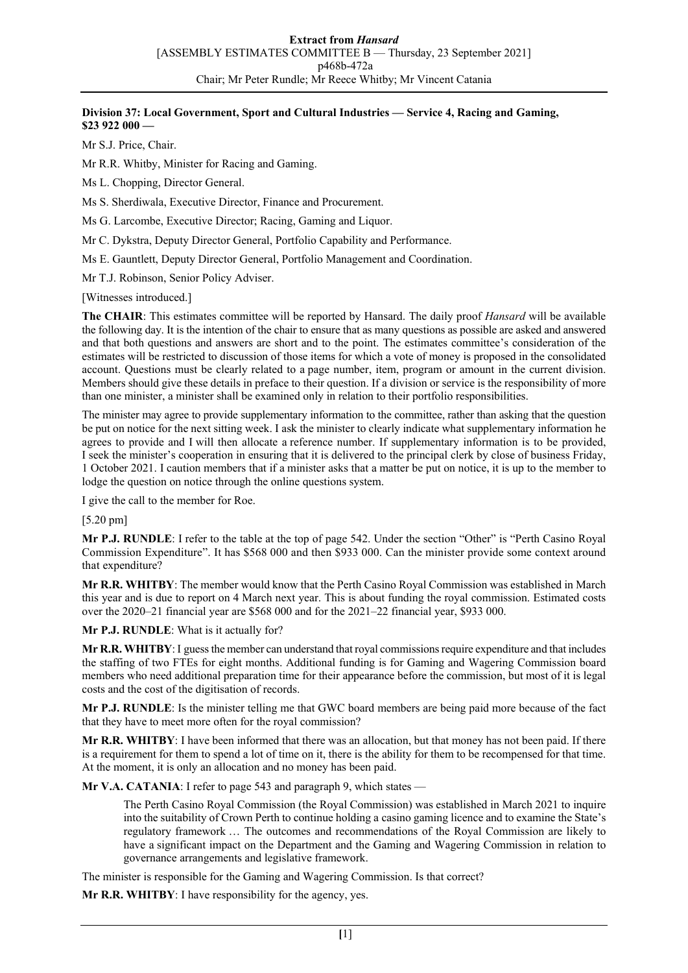## **Division 37: Local Government, Sport and Cultural Industries — Service 4, Racing and Gaming, \$23 922 000 —**

Mr S.J. Price, Chair.

Mr R.R. Whitby, Minister for Racing and Gaming.

Ms L. Chopping, Director General.

Ms S. Sherdiwala, Executive Director, Finance and Procurement.

Ms G. Larcombe, Executive Director; Racing, Gaming and Liquor.

Mr C. Dykstra, Deputy Director General, Portfolio Capability and Performance.

Ms E. Gauntlett, Deputy Director General, Portfolio Management and Coordination.

Mr T.J. Robinson, Senior Policy Adviser.

[Witnesses introduced.]

**The CHAIR**: This estimates committee will be reported by Hansard. The daily proof *Hansard* will be available the following day. It is the intention of the chair to ensure that as many questions as possible are asked and answered and that both questions and answers are short and to the point. The estimates committee's consideration of the estimates will be restricted to discussion of those items for which a vote of money is proposed in the consolidated account. Questions must be clearly related to a page number, item, program or amount in the current division. Members should give these details in preface to their question. If a division or service is the responsibility of more than one minister, a minister shall be examined only in relation to their portfolio responsibilities.

The minister may agree to provide supplementary information to the committee, rather than asking that the question be put on notice for the next sitting week. I ask the minister to clearly indicate what supplementary information he agrees to provide and I will then allocate a reference number. If supplementary information is to be provided, I seek the minister's cooperation in ensuring that it is delivered to the principal clerk by close of business Friday, 1 October 2021. I caution members that if a minister asks that a matter be put on notice, it is up to the member to lodge the question on notice through the online questions system.

I give the call to the member for Roe.

[5.20 pm]

**Mr P.J. RUNDLE**: I refer to the table at the top of page 542. Under the section "Other" is "Perth Casino Royal Commission Expenditure". It has \$568 000 and then \$933 000. Can the minister provide some context around that expenditure?

**Mr R.R. WHITBY**: The member would know that the Perth Casino Royal Commission was established in March this year and is due to report on 4 March next year. This is about funding the royal commission. Estimated costs over the 2020–21 financial year are \$568 000 and for the 2021–22 financial year, \$933 000.

**Mr P.J. RUNDLE**: What is it actually for?

**Mr R.R. WHITBY**: I guess the member can understand that royal commissions require expenditure and that includes the staffing of two FTEs for eight months. Additional funding is for Gaming and Wagering Commission board members who need additional preparation time for their appearance before the commission, but most of it is legal costs and the cost of the digitisation of records.

**Mr P.J. RUNDLE**: Is the minister telling me that GWC board members are being paid more because of the fact that they have to meet more often for the royal commission?

**Mr R.R. WHITBY**: I have been informed that there was an allocation, but that money has not been paid. If there is a requirement for them to spend a lot of time on it, there is the ability for them to be recompensed for that time. At the moment, it is only an allocation and no money has been paid.

**Mr V.A. CATANIA:** I refer to page 543 and paragraph 9, which states —

The Perth Casino Royal Commission (the Royal Commission) was established in March 2021 to inquire into the suitability of Crown Perth to continue holding a casino gaming licence and to examine the State's regulatory framework … The outcomes and recommendations of the Royal Commission are likely to have a significant impact on the Department and the Gaming and Wagering Commission in relation to governance arrangements and legislative framework.

The minister is responsible for the Gaming and Wagering Commission. Is that correct?

**Mr R.R. WHITBY**: I have responsibility for the agency, yes.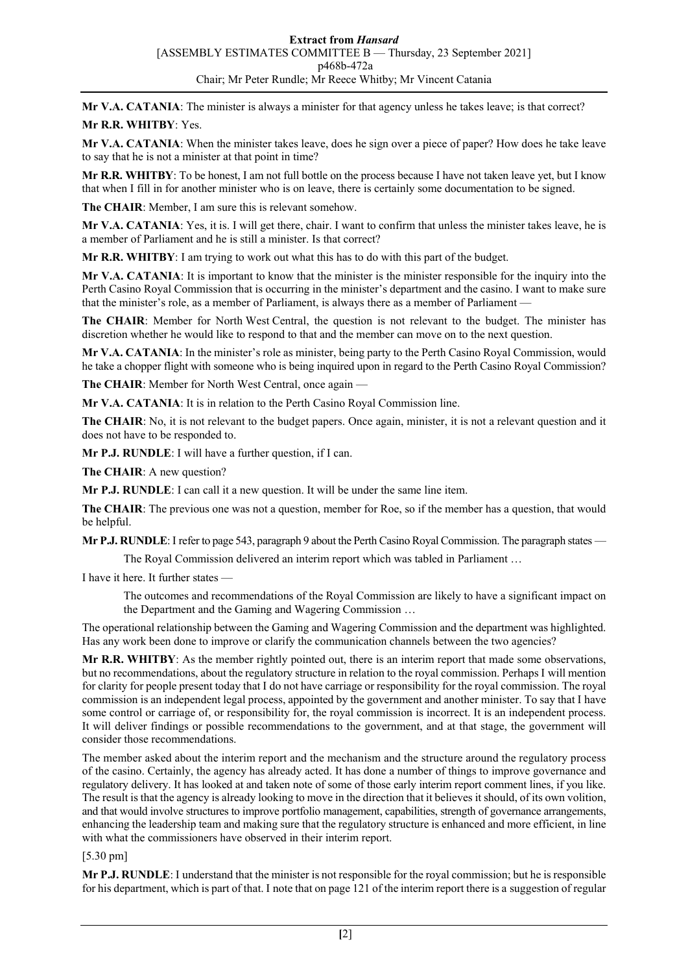**Mr V.A. CATANIA**: The minister is always a minister for that agency unless he takes leave; is that correct?

## **Mr R.R. WHITBY**: Yes.

**Mr V.A. CATANIA**: When the minister takes leave, does he sign over a piece of paper? How does he take leave to say that he is not a minister at that point in time?

**Mr R.R. WHITBY**: To be honest, I am not full bottle on the process because I have not taken leave yet, but I know that when I fill in for another minister who is on leave, there is certainly some documentation to be signed.

**The CHAIR**: Member, I am sure this is relevant somehow.

**Mr V.A. CATANIA**: Yes, it is. I will get there, chair. I want to confirm that unless the minister takes leave, he is a member of Parliament and he is still a minister. Is that correct?

**Mr R.R. WHITBY**: I am trying to work out what this has to do with this part of the budget.

**Mr V.A. CATANIA**: It is important to know that the minister is the minister responsible for the inquiry into the Perth Casino Royal Commission that is occurring in the minister's department and the casino. I want to make sure that the minister's role, as a member of Parliament, is always there as a member of Parliament —

**The CHAIR**: Member for North West Central, the question is not relevant to the budget. The minister has discretion whether he would like to respond to that and the member can move on to the next question.

**Mr V.A. CATANIA**: In the minister's role as minister, being party to the Perth Casino Royal Commission, would he take a chopper flight with someone who is being inquired upon in regard to the Perth Casino Royal Commission?

**The CHAIR**: Member for North West Central, once again —

**Mr V.A. CATANIA**: It is in relation to the Perth Casino Royal Commission line.

**The CHAIR**: No, it is not relevant to the budget papers. Once again, minister, it is not a relevant question and it does not have to be responded to.

**Mr P.J. RUNDLE**: I will have a further question, if I can.

**The CHAIR**: A new question?

**Mr P.J. RUNDLE**: I can call it a new question. It will be under the same line item.

**The CHAIR**: The previous one was not a question, member for Roe, so if the member has a question, that would be helpful.

**Mr P.J. RUNDLE**: I refer to page 543, paragraph 9 about the Perth Casino Royal Commission. The paragraph states —

The Royal Commission delivered an interim report which was tabled in Parliament …

I have it here. It further states —

The outcomes and recommendations of the Royal Commission are likely to have a significant impact on the Department and the Gaming and Wagering Commission …

The operational relationship between the Gaming and Wagering Commission and the department was highlighted. Has any work been done to improve or clarify the communication channels between the two agencies?

**Mr R.R. WHITBY**: As the member rightly pointed out, there is an interim report that made some observations, but no recommendations, about the regulatory structure in relation to the royal commission. Perhaps I will mention for clarity for people present today that I do not have carriage or responsibility for the royal commission. The royal commission is an independent legal process, appointed by the government and another minister. To say that I have some control or carriage of, or responsibility for, the royal commission is incorrect. It is an independent process. It will deliver findings or possible recommendations to the government, and at that stage, the government will consider those recommendations.

The member asked about the interim report and the mechanism and the structure around the regulatory process of the casino. Certainly, the agency has already acted. It has done a number of things to improve governance and regulatory delivery. It has looked at and taken note of some of those early interim report comment lines, if you like. The result is that the agency is already looking to move in the direction that it believes it should, of its own volition, and that would involve structures to improve portfolio management, capabilities, strength of governance arrangements, enhancing the leadership team and making sure that the regulatory structure is enhanced and more efficient, in line with what the commissioners have observed in their interim report.

[5.30 pm]

**Mr P.J. RUNDLE**: I understand that the minister is not responsible for the royal commission; but he is responsible for his department, which is part of that. I note that on page 121 of the interim report there is a suggestion of regular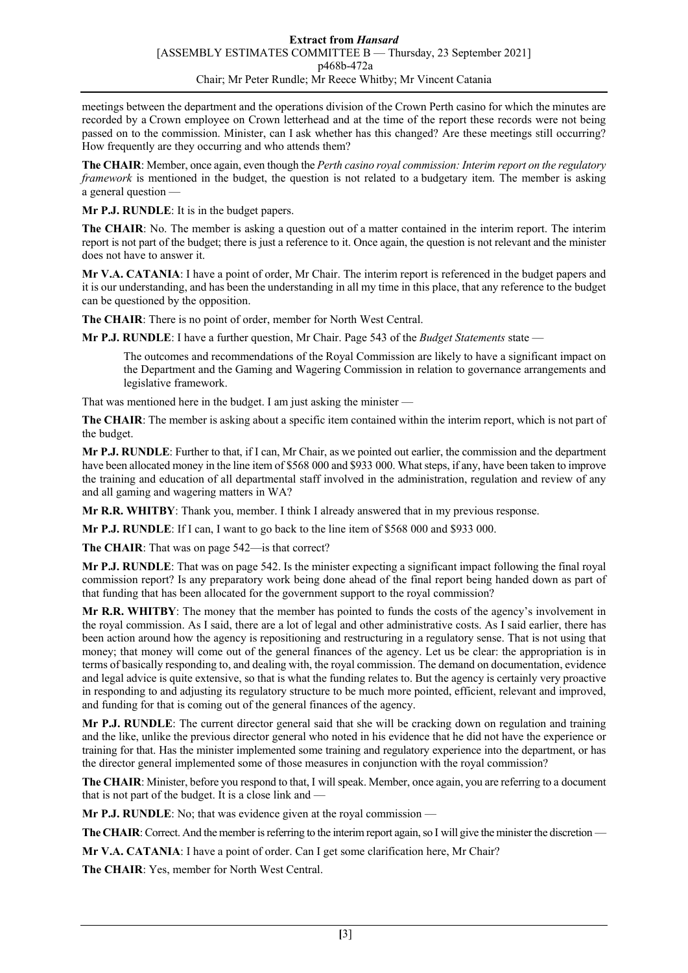meetings between the department and the operations division of the Crown Perth casino for which the minutes are recorded by a Crown employee on Crown letterhead and at the time of the report these records were not being passed on to the commission. Minister, can I ask whether has this changed? Are these meetings still occurring? How frequently are they occurring and who attends them?

**The CHAIR**: Member, once again, even though the *Perth casino royal commission: Interim report on the regulatory framework* is mentioned in the budget, the question is not related to a budgetary item. The member is asking a general question -

**Mr P.J. RUNDLE**: It is in the budget papers.

**The CHAIR**: No. The member is asking a question out of a matter contained in the interim report. The interim report is not part of the budget; there is just a reference to it. Once again, the question is not relevant and the minister does not have to answer it.

**Mr V.A. CATANIA**: I have a point of order, Mr Chair. The interim report is referenced in the budget papers and it is our understanding, and has been the understanding in all my time in this place, that any reference to the budget can be questioned by the opposition.

**The CHAIR**: There is no point of order, member for North West Central.

**Mr P.J. RUNDLE**: I have a further question, Mr Chair. Page 543 of the *Budget Statements* state —

The outcomes and recommendations of the Royal Commission are likely to have a significant impact on the Department and the Gaming and Wagering Commission in relation to governance arrangements and legislative framework.

That was mentioned here in the budget. I am just asking the minister —

**The CHAIR**: The member is asking about a specific item contained within the interim report, which is not part of the budget.

**Mr P.J. RUNDLE**: Further to that, if I can, Mr Chair, as we pointed out earlier, the commission and the department have been allocated money in the line item of \$568 000 and \$933 000. What steps, if any, have been taken to improve the training and education of all departmental staff involved in the administration, regulation and review of any and all gaming and wagering matters in WA?

**Mr R.R. WHITBY**: Thank you, member. I think I already answered that in my previous response.

**Mr P.J. RUNDLE**: If I can, I want to go back to the line item of \$568 000 and \$933 000.

**The CHAIR**: That was on page 542—is that correct?

**Mr P.J. RUNDLE**: That was on page 542. Is the minister expecting a significant impact following the final royal commission report? Is any preparatory work being done ahead of the final report being handed down as part of that funding that has been allocated for the government support to the royal commission?

**Mr R.R. WHITBY**: The money that the member has pointed to funds the costs of the agency's involvement in the royal commission. As I said, there are a lot of legal and other administrative costs. As I said earlier, there has been action around how the agency is repositioning and restructuring in a regulatory sense. That is not using that money; that money will come out of the general finances of the agency. Let us be clear: the appropriation is in terms of basically responding to, and dealing with, the royal commission. The demand on documentation, evidence and legal advice is quite extensive, so that is what the funding relates to. But the agency is certainly very proactive in responding to and adjusting its regulatory structure to be much more pointed, efficient, relevant and improved, and funding for that is coming out of the general finances of the agency.

**Mr P.J. RUNDLE**: The current director general said that she will be cracking down on regulation and training and the like, unlike the previous director general who noted in his evidence that he did not have the experience or training for that. Has the minister implemented some training and regulatory experience into the department, or has the director general implemented some of those measures in conjunction with the royal commission?

**The CHAIR**: Minister, before you respond to that, I will speak. Member, once again, you are referring to a document that is not part of the budget. It is a close link and —

**Mr P.J. RUNDLE**: No; that was evidence given at the royal commission —

**The CHAIR**: Correct. And the member is referring to the interim report again, so I will give the minister the discretion —

**Mr V.A. CATANIA**: I have a point of order. Can I get some clarification here, Mr Chair?

**The CHAIR**: Yes, member for North West Central.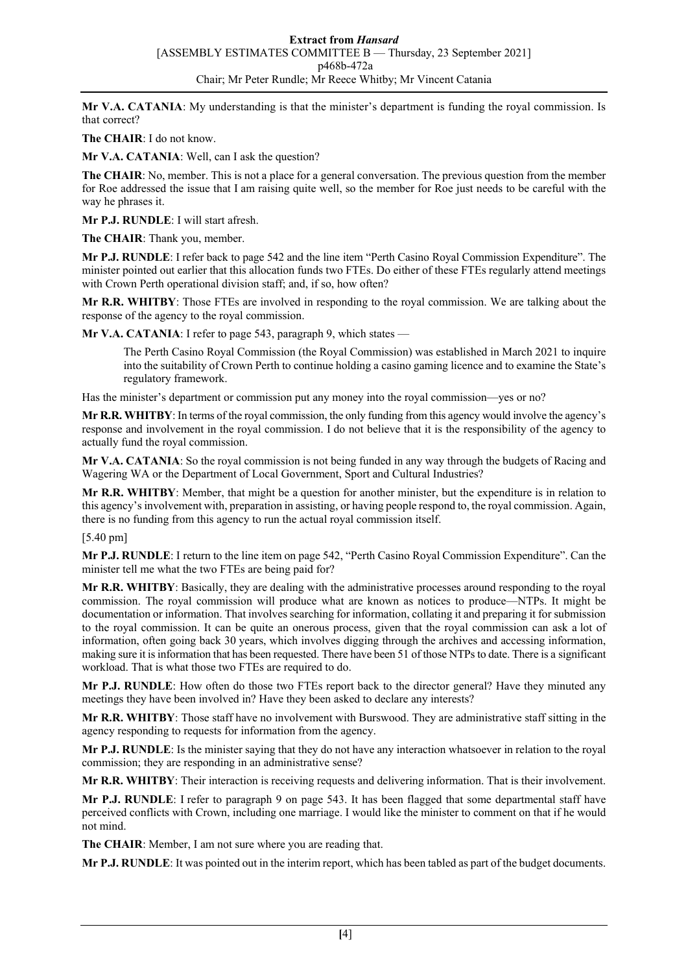**Mr V.A. CATANIA**: My understanding is that the minister's department is funding the royal commission. Is that correct?

**The CHAIR**: I do not know.

**Mr V.A. CATANIA**: Well, can I ask the question?

**The CHAIR**: No, member. This is not a place for a general conversation. The previous question from the member for Roe addressed the issue that I am raising quite well, so the member for Roe just needs to be careful with the way he phrases it.

**Mr P.J. RUNDLE**: I will start afresh.

**The CHAIR**: Thank you, member.

**Mr P.J. RUNDLE**: I refer back to page 542 and the line item "Perth Casino Royal Commission Expenditure". The minister pointed out earlier that this allocation funds two FTEs. Do either of these FTEs regularly attend meetings with Crown Perth operational division staff; and, if so, how often?

**Mr R.R. WHITBY**: Those FTEs are involved in responding to the royal commission. We are talking about the response of the agency to the royal commission.

**Mr V.A. CATANIA**: I refer to page 543, paragraph 9, which states —

The Perth Casino Royal Commission (the Royal Commission) was established in March 2021 to inquire into the suitability of Crown Perth to continue holding a casino gaming licence and to examine the State's regulatory framework.

Has the minister's department or commission put any money into the royal commission—yes or no?

**Mr R.R. WHITBY**: In terms of the royal commission, the only funding from this agency would involve the agency's response and involvement in the royal commission. I do not believe that it is the responsibility of the agency to actually fund the royal commission.

**Mr V.A. CATANIA**: So the royal commission is not being funded in any way through the budgets of Racing and Wagering WA or the Department of Local Government, Sport and Cultural Industries?

**Mr R.R. WHITBY**: Member, that might be a question for another minister, but the expenditure is in relation to this agency's involvement with, preparation in assisting, or having people respond to, the royal commission. Again, there is no funding from this agency to run the actual royal commission itself.

[5.40 pm]

**Mr P.J. RUNDLE**: I return to the line item on page 542, "Perth Casino Royal Commission Expenditure". Can the minister tell me what the two FTEs are being paid for?

**Mr R.R. WHITBY**: Basically, they are dealing with the administrative processes around responding to the royal commission. The royal commission will produce what are known as notices to produce—NTPs. It might be documentation or information. That involves searching for information, collating it and preparing it for submission to the royal commission. It can be quite an onerous process, given that the royal commission can ask a lot of information, often going back 30 years, which involves digging through the archives and accessing information, making sure it is information that has been requested. There have been 51 of those NTPs to date. There is a significant workload. That is what those two FTEs are required to do.

**Mr P.J. RUNDLE**: How often do those two FTEs report back to the director general? Have they minuted any meetings they have been involved in? Have they been asked to declare any interests?

**Mr R.R. WHITBY**: Those staff have no involvement with Burswood. They are administrative staff sitting in the agency responding to requests for information from the agency.

**Mr P.J. RUNDLE**: Is the minister saying that they do not have any interaction whatsoever in relation to the royal commission; they are responding in an administrative sense?

**Mr R.R. WHITBY**: Their interaction is receiving requests and delivering information. That is their involvement.

**Mr P.J. RUNDLE**: I refer to paragraph 9 on page 543. It has been flagged that some departmental staff have perceived conflicts with Crown, including one marriage. I would like the minister to comment on that if he would not mind.

**The CHAIR**: Member, I am not sure where you are reading that.

**Mr P.J. RUNDLE**: It was pointed out in the interim report, which has been tabled as part of the budget documents.